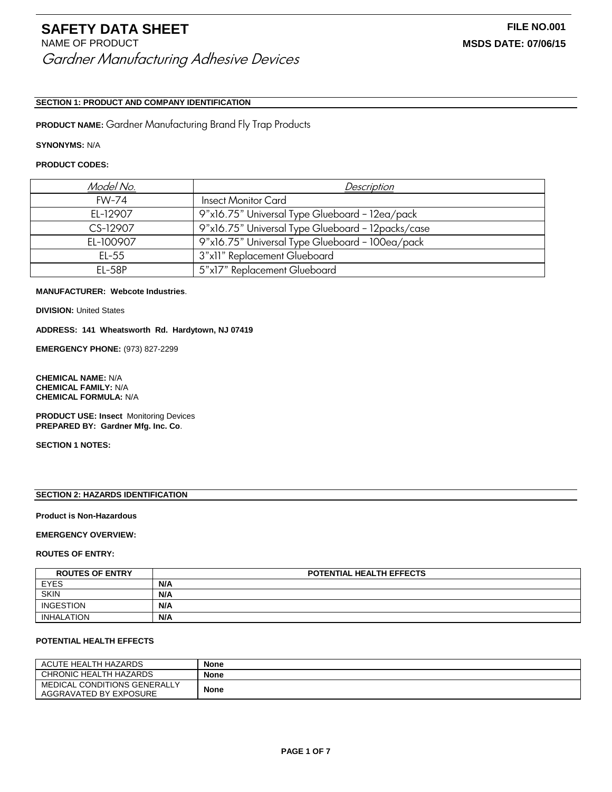# **SECTION 1: PRODUCT AND COMPANY IDENTIFICATION**

**PRODUCT NAME:** Gardner Manufacturing Brand Fly Trap Products

### **SYNONYMS:** N/A

# **PRODUCT CODES:**

| Model No.    | Description                                       |
|--------------|---------------------------------------------------|
| <b>FW-74</b> | <b>Insect Monitor Card</b>                        |
| EL-12907     | 9"x16.75" Universal Type Glueboard - 12ea/pack    |
| CS-12907     | 9"x16.75" Universal Type Glueboard - 12packs/case |
| EL-100907    | 9"x16.75" Universal Type Glueboard - 100ea/pack   |
| EL-55        | 3"x11" Replacement Glueboard                      |
| $EL-58P$     | 5"x17" Replacement Glueboard                      |

# **MANUFACTURER: Webcote Industries**.

**DIVISION: United States** 

**ADDRESS: 141 Wheatsworth Rd. Hardytown, NJ 07419**

**EMERGENCY PHONE:** (973) 827-2299

**CHEMICAL NAME:** N/A **CHEMICAL FAMILY:** N/A **CHEMICAL FORMULA:** N/A

**PRODUCT USE: Insect** Monitoring Devices **PREPARED BY: Gardner Mfg. Inc. Co**.

**SECTION 1 NOTES:**

# **SECTION 2: HAZARDS IDENTIFICATION**

### **Product is Non-Hazardous**

# **EMERGENCY OVERVIEW:**

#### **ROUTES OF ENTRY:**

| <b>ROUTES OF ENTRY</b> | <b>POTENTIAL HEALTH EFFECTS</b> |
|------------------------|---------------------------------|
| <b>EYES</b>            | N/A                             |
| <b>SKIN</b>            | N/A                             |
| <b>INGESTION</b>       | N/A                             |
| INHALATION             | N/A                             |

### **POTENTIAL HEALTH EFFECTS**

| ACUTE HEALTH HAZARDS                                   | <b>None</b> |
|--------------------------------------------------------|-------------|
| CHRONIC HEALTH HAZARDS                                 | <b>None</b> |
| MEDICAL CONDITIONS GENERALLY<br>AGGRAVATED BY EXPOSURE | <b>None</b> |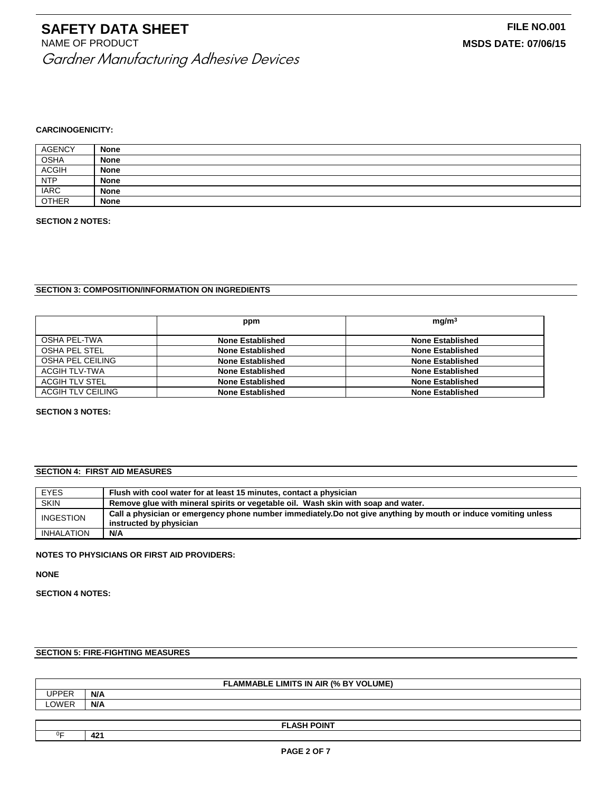#### **CARCINOGENICITY:**

| <b>AGENCY</b> | <b>None</b> |
|---------------|-------------|
| <b>OSHA</b>   | <b>None</b> |
| <b>ACGIH</b>  | <b>None</b> |
| <b>NTP</b>    | <b>None</b> |
| <b>IARC</b>   | <b>None</b> |
| <b>OTHER</b>  | <b>None</b> |

#### **SECTION 2 NOTES:**

### **SECTION 3: COMPOSITION/INFORMATION ON INGREDIENTS**

|                   | ppm                     | mg/m <sup>3</sup>       |
|-------------------|-------------------------|-------------------------|
| OSHA PEL-TWA      | <b>None Established</b> | None Established        |
| OSHA PEL STEL     | <b>None Established</b> | <b>None Established</b> |
| OSHA PEL CEILING  | <b>None Established</b> | <b>None Established</b> |
| ACGIH TLV-TWA     | <b>None Established</b> | None Established        |
| ACGIH TLV STEL    | <b>None Established</b> | <b>None Established</b> |
| ACGIH TLV CEILING | <b>None Established</b> | <b>None Established</b> |

#### **SECTION 3 NOTES:**

# **SECTION 4: FIRST AID MEASURES**

| <b>EYES</b> | Flush with cool water for at least 15 minutes, contact a physician                                              |
|-------------|-----------------------------------------------------------------------------------------------------------------|
| <b>SKIN</b> | Remove glue with mineral spirits or vegetable oil. Wash skin with soap and water.                               |
| INGESTION   | Call a physician or emergency phone number immediately. Do not give anything by mouth or induce vomiting unless |
|             | instructed by physician                                                                                         |
| INHALATION  | N/A                                                                                                             |

# **NOTES TO PHYSICIANS OR FIRST AID PROVIDERS:**

**NONE**

**SECTION 4 NOTES:**

# **SECTION 5: FIRE-FIGHTING MEASURES**

| <b>FLAMMABLE LIMITS IN AIR (% BY VOLUME)</b> |                     |
|----------------------------------------------|---------------------|
| UPPER                                        | N/A                 |
| LOWER                                        | N/A                 |
|                                              |                     |
|                                              | <b>EL ACU DOINT</b> |

<sup>0</sup>F **421**

**FLASH POINT**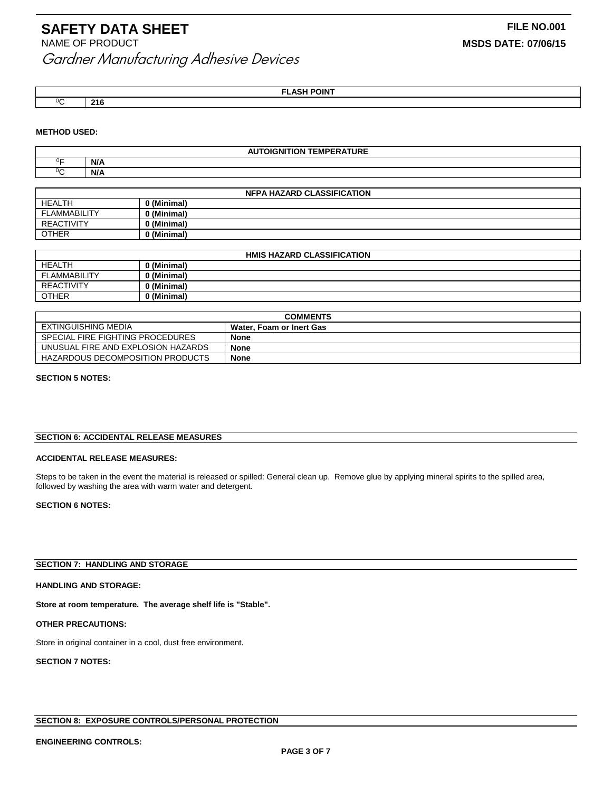<sup>0</sup>C **216**

**FLASH POINT**

# **METHOD USED:**

| <b>AUTOIGNITION TEMPERATURE</b> |     |  |
|---------------------------------|-----|--|
| ∩⊏                              | N/A |  |
|                                 | N/A |  |

| <b>NFPA HAZARD CLASSIFICATION</b> |             |
|-----------------------------------|-------------|
| <b>HEALTH</b>                     | 0 (Minimal) |
| FLAMMABILITY                      | 0 (Minimal) |
| <b>REACTIVITY</b>                 | 0 (Minimal) |
| <b>OTHER</b>                      | 0 (Minimal) |

| <b>HMIS HAZARD CLASSIFICATION</b> |                    |  |
|-----------------------------------|--------------------|--|
| <b>HEALTH</b>                     | <b>) (Minimal)</b> |  |
| <b>FLAMMABILITY</b>               | ) (Minimal)        |  |
| <b>REACTIVITY</b>                 | 0 (Minimal)        |  |
| <b>OTHER</b>                      | 0 (Minimal)        |  |

| <b>COMMENTS</b>                         |                          |
|-----------------------------------------|--------------------------|
| EXTINGUISHING MEDIA                     | Water. Foam or Inert Gas |
| SPECIAL FIRE FIGHTING PROCEDURES        | <b>None</b>              |
| UNUSUAL FIRE AND EXPLOSION HAZARDS      | <b>None</b>              |
| <b>HAZARDOUS DECOMPOSITION PRODUCTS</b> | <b>None</b>              |

# **SECTION 5 NOTES:**

### **SECTION 6: ACCIDENTAL RELEASE MEASURES**

#### **ACCIDENTAL RELEASE MEASURES:**

Steps to be taken in the event the material is released or spilled: General clean up. Remove glue by applying mineral spirits to the spilled area, followed by washing the area with warm water and detergent.

# **SECTION 6 NOTES:**

# **SECTION 7: HANDLING AND STORAGE**

#### **HANDLING AND STORAGE:**

**Store at room temperature. The average shelf life is "Stable".**

#### **OTHER PRECAUTIONS:**

Store in original container in a cool, dust free environment.

# **SECTION 7 NOTES:**

# **SECTION 8: EXPOSURE CONTROLS/PERSONAL PROTECTION**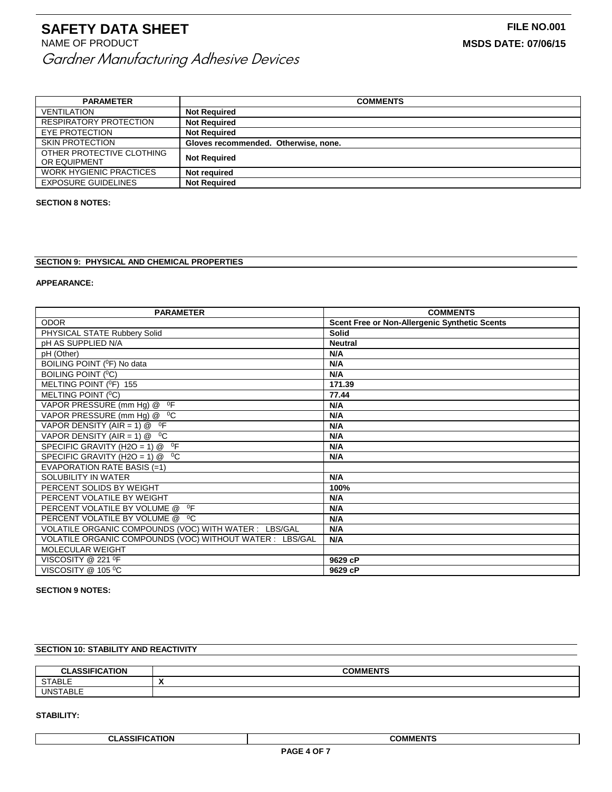| <b>PARAMETER</b>                          | <b>COMMENTS</b>                      |
|-------------------------------------------|--------------------------------------|
| VENTILATION                               | <b>Not Required</b>                  |
| <b>RESPIRATORY PROTECTION</b>             | <b>Not Required</b>                  |
| EYE PROTECTION                            | <b>Not Required</b>                  |
| <b>SKIN PROTECTION</b>                    | Gloves recommended. Otherwise, none. |
| OTHER PROTECTIVE CLOTHING<br>OR EQUIPMENT | <b>Not Required</b>                  |
| <b>WORK HYGIENIC PRACTICES</b>            | <b>Not required</b>                  |
| <b>EXPOSURE GUIDELINES</b>                | <b>Not Required</b>                  |

#### **SECTION 8 NOTES:**

### **SECTION 9: PHYSICAL AND CHEMICAL PROPERTIES**

#### **APPEARANCE:**

| <b>PARAMETER</b>                                         | <b>COMMENTS</b>                               |
|----------------------------------------------------------|-----------------------------------------------|
| <b>ODOR</b>                                              | Scent Free or Non-Allergenic Synthetic Scents |
| PHYSICAL STATE Rubbery Solid                             | <b>Solid</b>                                  |
| pH AS SUPPLIED N/A                                       | <b>Neutral</b>                                |
| pH (Other)                                               | N/A                                           |
| BOILING POINT ( <sup>0</sup> F) No data                  | N/A                                           |
| BOILING POINT ( <sup>0</sup> C)                          | N/A                                           |
| MELTING POINT ( <sup>0</sup> F) 155                      | 171.39                                        |
| MELTING POINT ( <sup>0</sup> C)                          | 77.44                                         |
| $^0$ F<br>VAPOR PRESSURE (mm Hq) @                       | N/A                                           |
| VAPOR PRESSURE (mm Hq) @ <sup>0</sup> C                  | N/A                                           |
| VAPOR DENSITY (AIR = 1) $@$ <sup>o</sup> F               | N/A                                           |
| VAPOR DENSITY (AIR = $1) @ 0C$                           | N/A                                           |
| 0F<br>SPECIFIC GRAVITY (H2O = 1) $@$                     | N/A                                           |
| SPECIFIC GRAVITY (H2O = 1) @ <sup>0</sup> C              | N/A                                           |
| EVAPORATION RATE BASIS $(=1)$                            |                                               |
| SOLUBILITY IN WATER                                      | N/A                                           |
| PERCENT SOLIDS BY WEIGHT                                 | 100%                                          |
| PERCENT VOLATILE BY WEIGHT                               | N/A                                           |
| 0F<br>PERCENT VOLATILE BY VOLUME @                       | N/A                                           |
| PERCENT VOLATILE BY VOLUME @ <sup>0</sup> C              | N/A                                           |
| VOLATILE ORGANIC COMPOUNDS (VOC) WITH WATER : LBS/GAL    | N/A                                           |
| VOLATILE ORGANIC COMPOUNDS (VOC) WITHOUT WATER : LBS/GAL | N/A                                           |
| <b>MOLECULAR WEIGHT</b>                                  |                                               |
| VISCOSITY @ 221 <sup>O</sup> F                           | 9629 cP                                       |
| VISCOSITY @ 105 °C                                       | 9629 cP                                       |

# **SECTION 9 NOTES:**

# **SECTION 10: STABILITY AND REACTIVITY**

| $1 - 1 - 1$<br>~'<br>HUN<br>טומט | A<br>אר<br>.                               |
|----------------------------------|--------------------------------------------|
| <b>CTADIC</b><br>ADLE<br>، ب     | $\blacksquare$<br>$\overline{\phantom{a}}$ |
| - - - - -<br>, UN⊂ັ              |                                            |

### **STABILITY:**

**CLASSIFICATION COMMENTS**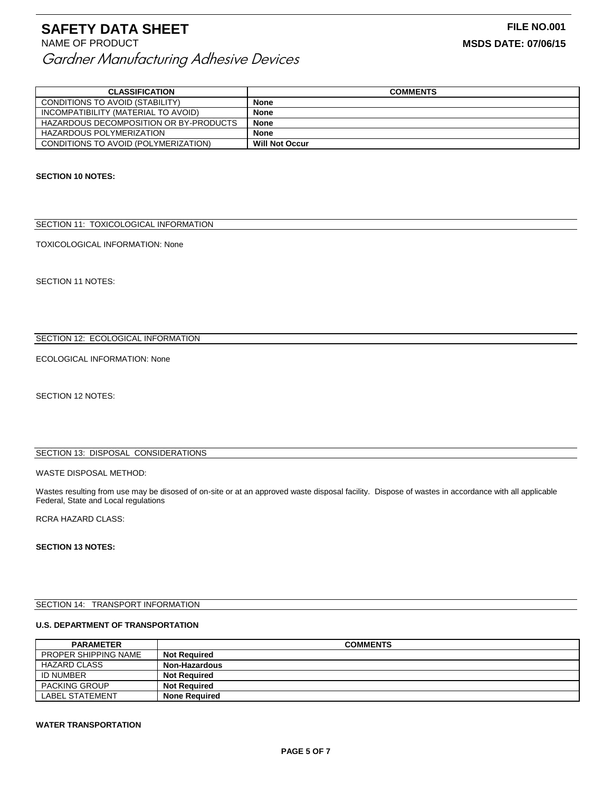| <b>CLASSIFICATION</b>                  | <b>COMMENTS</b>       |
|----------------------------------------|-----------------------|
| CONDITIONS TO AVOID (STABILITY)        | <b>None</b>           |
| INCOMPATIBILITY (MATERIAL TO AVOID)    | <b>None</b>           |
| HAZARDOUS DECOMPOSITION OR BY-PRODUCTS | <b>None</b>           |
| <b>HAZARDOUS POLYMERIZATION</b>        | <b>None</b>           |
| CONDITIONS TO AVOID (POLYMERIZATION)   | <b>Will Not Occur</b> |

### **SECTION 10 NOTES:**

# SECTION 11: TOXICOLOGICAL INFORMATION

TOXICOLOGICAL INFORMATION: None

SECTION 11 NOTES:

# SECTION 12: ECOLOGICAL INFORMATION

ECOLOGICAL INFORMATION: None

SECTION 12 NOTES:

# SECTION 13: DISPOSAL CONSIDERATIONS

# WASTE DISPOSAL METHOD:

Wastes resulting from use may be disosed of on-site or at an approved waste disposal facility. Dispose of wastes in accordance with all applicable Federal, State and Local regulations

RCRA HAZARD CLASS:

#### **SECTION 13 NOTES:**

#### SECTION 14: TRANSPORT INFORMATION

#### **U.S. DEPARTMENT OF TRANSPORTATION**

| <b>PARAMETER</b>            | <b>COMMENTS</b>      |
|-----------------------------|----------------------|
| <b>PROPER SHIPPING NAME</b> | <b>Not Reauired</b>  |
| HAZARD CLASS                | Non-Hazardous        |
| ID NUMBER                   | <b>Not Reauired</b>  |
| <b>PACKING GROUP</b>        | <b>Not Required</b>  |
| <b>LABEL STATEMENT</b>      | <b>None Required</b> |

#### **WATER TRANSPORTATION**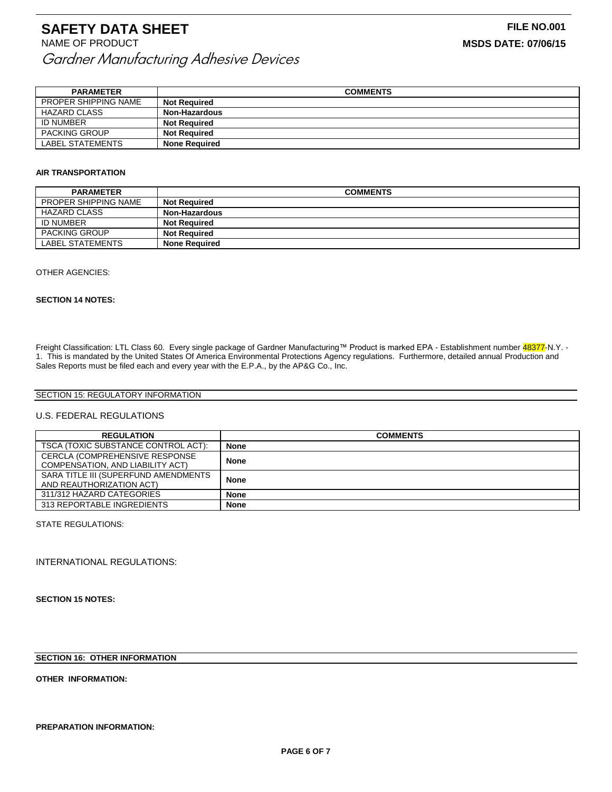| <b>PARAMETER</b>            | <b>COMMENTS</b>      |
|-----------------------------|----------------------|
| <b>PROPER SHIPPING NAME</b> | <b>Not Required</b>  |
| <b>HAZARD CLASS</b>         | Non-Hazardous        |
| <b>ID NUMBER</b>            | <b>Not Required</b>  |
| <b>PACKING GROUP</b>        | <b>Not Required</b>  |
| LABEL STATEMENTS            | <b>None Required</b> |

# **AIR TRANSPORTATION**

| <b>PARAMETER</b>     | <b>COMMENTS</b>      |
|----------------------|----------------------|
| PROPER SHIPPING NAME | <b>Not Required</b>  |
| <b>HAZARD CLASS</b>  | Non-Hazardous        |
| ID NUMBER            | <b>Not Required</b>  |
| <b>PACKING GROUP</b> | <b>Not Required</b>  |
| LABEL STATEMENTS     | <b>None Required</b> |

#### OTHER AGENCIES:

#### **SECTION 14 NOTES:**

Freight Classification: LTL Class 60. Every single package of Gardner Manufacturing™ Product is marked EPA - Establishment number 48377-N.Y. -1. This is mandated by the United States Of America Environmental Protections Agency regulations. Furthermore, detailed annual Production and Sales Reports must be filed each and every year with the E.P.A., by the AP&G Co., Inc.

# SECTION 15: REGULATORY INFORMATION

### U.S. FEDERAL REGULATIONS

| <b>REGULATION</b>                    | <b>COMMENTS</b> |
|--------------------------------------|-----------------|
| TSCA (TOXIC SUBSTANCE CONTROL ACT):  | <b>None</b>     |
| CERCLA (COMPREHENSIVE RESPONSE       | <b>None</b>     |
| COMPENSATION, AND LIABILITY ACT)     |                 |
| SARA TITLE III (SUPERFUND AMENDMENTS | <b>None</b>     |
| AND REAUTHORIZATION ACT)             |                 |
| 311/312 HAZARD CATEGORIES            | <b>None</b>     |
| 313 REPORTABLE INGREDIENTS           | <b>None</b>     |

STATE REGULATIONS:

INTERNATIONAL REGULATIONS:

**SECTION 15 NOTES:**

#### **SECTION 16: OTHER INFORMATION**

**OTHER INFORMATION:**